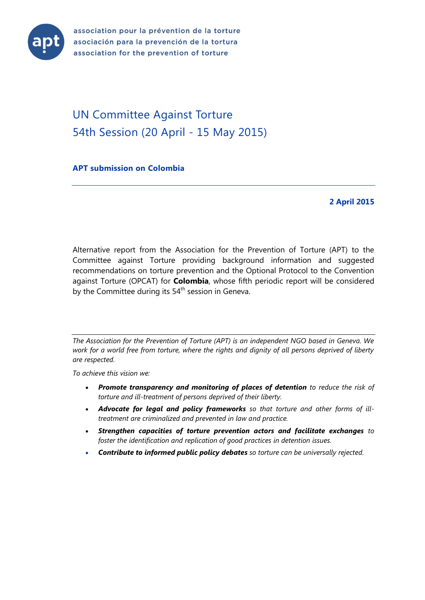

association pour la prévention de la torture asociación para la prevención de la tortura association for the prevention of torture

# UN Committee Against Torture 54th Session (20 April - 15 May 2015)

**APT submission on Colombia**

**2 April 2015**

Alternative report from the Association for the Prevention of Torture (APT) to the Committee against Torture providing background information and suggested recommendations on torture prevention and the Optional Protocol to the Convention against Torture (OPCAT) for **Colombia**, whose fifth periodic report will be considered by the Committee during its 54<sup>th</sup> session in Geneva.

*The Association for the Prevention of Torture (APT) is an independent NGO based in Geneva. We work for a world free from torture, where the rights and dignity of all persons deprived of liberty are respected.* 

*To achieve this vision we:* 

- *Promote transparency and monitoring of places of detention to reduce the risk of torture and ill-treatment of persons deprived of their liberty.*
- *Advocate for legal and policy frameworks so that torture and other forms of illtreatment are criminalized and prevented in law and practice.*
- *Strengthen capacities of torture prevention actors and facilitate exchanges to foster the identification and replication of good practices in detention issues.*
- *Contribute to informed public policy debates so torture can be universally rejected.*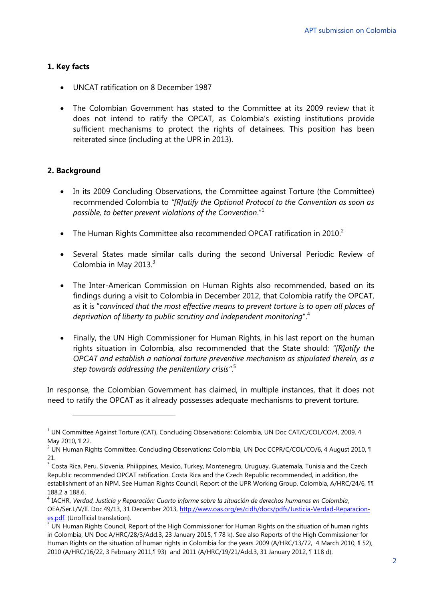# **1. Key facts**

- UNCAT ratification on 8 December 1987
- The Colombian Government has stated to the Committee at its 2009 review that it does not intend to ratify the OPCAT, as Colombia's existing institutions provide sufficient mechanisms to protect the rights of detainees. This position has been reiterated since (including at the UPR in 2013).

# **2. Background**

 $\overline{a}$ 

- In its 2009 Concluding Observations, the Committee against Torture (the Committee) recommended Colombia to *"[R]atify the Optional Protocol to the Convention as soon as possible, to better prevent violations of the Convention*."<sup>1</sup>
- $\bullet$  The Human Rights Committee also recommended OPCAT ratification in 2010.<sup>2</sup>
- Several States made similar calls during the second Universal Periodic Review of Colombia in May 2013. $3$
- The Inter-American Commission on Human Rights also recommended, based on its findings during a visit to Colombia in December 2012, that Colombia ratify the OPCAT, as it is "*convinced that the most effective means to prevent torture is to open all places of deprivation of liberty to public scrutiny and independent monitoring*". 4
- Finally, the UN High Commissioner for Human Rights, in his last report on the human rights situation in Colombia, also recommended that the State should: *"[R]atify the OPCAT and establish a national torture preventive mechanism as stipulated therein, as a step towards addressing the penitentiary crisis"*. 5

In response, the Colombian Government has claimed, in multiple instances, that it does not need to ratify the OPCAT as it already possesses adequate mechanisms to prevent torture.

<sup>1</sup> UN Committee Against Torture (CAT), Concluding Observations: Colombia*,* UN Doc CAT/C/COL/CO/4, 2009, 4 May 2010, ¶ 22.

 $2$  UN Human Rights Committee, Concluding Observations: Colombia, UN Doc CCPR/C/COL/CO/6, 4 August 2010, 1 21.

<sup>&</sup>lt;sup>3</sup> Costa Rica, Peru, Slovenia, Philippines, Mexico, Turkey, Montenegro, Uruguay, Guatemala, Tunisia and the Czech Republic recommended OPCAT ratification. Costa Rica and the Czech Republic recommended, in addition, the establishment of an NPM. See Human Rights Council, Report of the UPR Working Group, Colombia, A/HRC/24/6, 111 188.2 a 188.6.

<sup>4</sup> IACHR, *Verdad, Justicia y Reparación: Cuarto informe sobre la situación de derechos humanos en Colombia*, OEA/Ser.L/V/II. Doc.49/13, 31 December 2013, [http://www.oas.org/es/cidh/docs/pdfs/Justicia-Verdad-Reparacion](http://www.oas.org/es/cidh/docs/pdfs/Justicia-Verdad-Reparacion-es.pdf)[es.pdf.](http://www.oas.org/es/cidh/docs/pdfs/Justicia-Verdad-Reparacion-es.pdf) (Unofficial translation).

<sup>&</sup>lt;sup>5</sup> UN Human Rights Council, Report of the High Commissioner for Human Rights on the situation of human rights in Colombia, UN Doc A/HRC/28/3/Add.3, 23 January 2015, ¶ 78 k). See also Reports of the High Commissioner for Human Rights on the situation of human rights in Colombia for the years 2009 (A/HRC/13/72, 4 March 2010, ¶ 52), 2010 (A/HRC/16/22, 3 February 2011,¶ 93) and 2011 (A/HRC/19/21/Add.3, 31 January 2012, ¶ 118 d).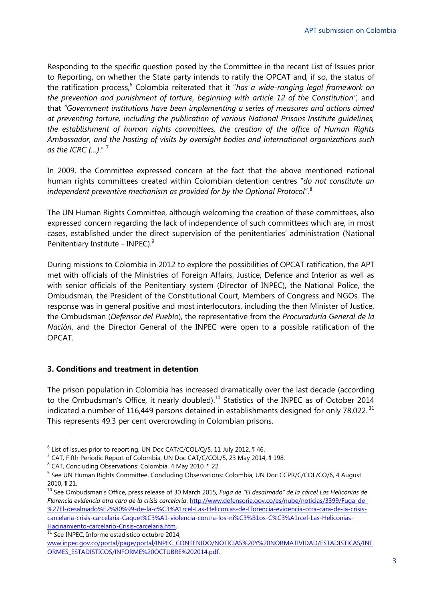Responding to the specific question posed by the Committee in the recent List of Issues prior to Reporting, on whether the State party intends to ratify the OPCAT and, if so, the status of the ratification process,<sup>6</sup> Colombia reiterated that it "*has a wide-ranging legal framework on the prevention and punishment of torture, beginning with article 12 of the Constitution",* and that *"Government institutions have been implementing a series of measures and actions aimed at preventing torture, including the publication of various National Prisons Institute guidelines, the establishment of human rights committees, the creation of the office of Human Rights Ambassador, and the hosting of visits by oversight bodies and international organizations such as the ICRC (…)*." <sup>7</sup>

In 2009, the Committee expressed concern at the fact that the above mentioned national human rights committees created within Colombian detention centres "*do not constitute an independent preventive mechanism as provided for by the Optional Protocol*".<sup>8</sup>

The UN Human Rights Committee, although welcoming the creation of these committees, also expressed concern regarding the lack of independence of such committees which are, in most cases, established under the direct supervision of the penitentiaries' administration (National Penitentiary Institute - INPEC).<sup>9</sup>

During missions to Colombia in 2012 to explore the possibilities of OPCAT ratification, the APT met with officials of the Ministries of Foreign Affairs, Justice, Defence and Interior as well as with senior officials of the Penitentiary system (Director of INPEC), the National Police, the Ombudsman, the President of the Constitutional Court, Members of Congress and NGOs. The response was in general positive and most interlocutors, including the then Minister of Justice, the Ombudsman (*Defensor del Pueblo*), the representative from the *Procuraduría General de la Nación*, and the Director General of the INPEC were open to a possible ratification of the OPCAT.

## **3. Conditions and treatment in detention**

 $\overline{a}$ 

The prison population in Colombia has increased dramatically over the last decade (according to the Ombudsman's Office, it nearly doubled).<sup>10</sup> Statistics of the INPEC as of October 2014 indicated a number of 116,449 persons detained in establishments designed for only 78,022.  $^{11}$ This represents 49.3 per cent overcrowding in Colombian prisons.

 $6$  List of issues prior to reporting, UN Doc CAT/C/COL/Q/5, 11 July 2012, 11 46.

 $^7$  CAT, Fifth Periodic Report of Colombia, UN Doc CAT/C/COL/5, 23 May 2014, 1 198.

<sup>&</sup>lt;sup>8</sup> CAT, Concluding Observations: Colombia, 4 May 2010, 1 22.

<sup>&</sup>lt;sup>9</sup> See UN Human Rights Committee, Concluding Observations: Colombia, UN Doc CCPR/C/COL/CO/6, 4 August 2010, ¶ 21.

<sup>10</sup> See Ombudsman's Office, press release of 30 March 2015, *Fuga de "El desalmado" de la cárcel Las Heliconias de Florencia evidencia otra cara de la crisis carcelaria*, [http://www.defensoria.gov.co/es/nube/noticias/3399/Fuga-de-](http://www.defensoria.gov.co/es/nube/noticias/3399/Fuga-de-%27El-desalmado%E2%80%99-de-la-c%C3%A1rcel-Las-Heliconias-de-Florencia-evidencia-otra-cara-de-la-crisis-carcelaria-crisis-carcelaria-Caquet%C3%A1-violencia-contra-los-ni%C3%B1os-C%C3%A1rcel-Las-Heliconias-Hacinamiento-carcelario-Crisis-carcelaria.htm) [%27El-desalmado%E2%80%99-de-la-c%C3%A1rcel-Las-Heliconias-de-Florencia-evidencia-otra-cara-de-la-crisis](http://www.defensoria.gov.co/es/nube/noticias/3399/Fuga-de-%27El-desalmado%E2%80%99-de-la-c%C3%A1rcel-Las-Heliconias-de-Florencia-evidencia-otra-cara-de-la-crisis-carcelaria-crisis-carcelaria-Caquet%C3%A1-violencia-contra-los-ni%C3%B1os-C%C3%A1rcel-Las-Heliconias-Hacinamiento-carcelario-Crisis-carcelaria.htm)[carcelaria-crisis-carcelaria-Caquet%C3%A1-violencia-contra-los-ni%C3%B1os-C%C3%A1rcel-Las-Heliconias-](http://www.defensoria.gov.co/es/nube/noticias/3399/Fuga-de-%27El-desalmado%E2%80%99-de-la-c%C3%A1rcel-Las-Heliconias-de-Florencia-evidencia-otra-cara-de-la-crisis-carcelaria-crisis-carcelaria-Caquet%C3%A1-violencia-contra-los-ni%C3%B1os-C%C3%A1rcel-Las-Heliconias-Hacinamiento-carcelario-Crisis-carcelaria.htm)[Hacinamiento-carcelario-Crisis-carcelaria.htm.](http://www.defensoria.gov.co/es/nube/noticias/3399/Fuga-de-%27El-desalmado%E2%80%99-de-la-c%C3%A1rcel-Las-Heliconias-de-Florencia-evidencia-otra-cara-de-la-crisis-carcelaria-crisis-carcelaria-Caquet%C3%A1-violencia-contra-los-ni%C3%B1os-C%C3%A1rcel-Las-Heliconias-Hacinamiento-carcelario-Crisis-carcelaria.htm)

<sup>&</sup>lt;sup>11</sup> See INPEC, Informe estadístico octubre 2014,

[www.inpec.gov.co/portal/page/portal/INPEC\\_CONTENIDO/NOTICIAS%20Y%20NORMATIVIDAD/ESTADISTICAS/INF](http://www.inpec.gov.co/portal/page/portal/INPEC_CONTENIDO/NOTICIAS%20Y%20NORMATIVIDAD/ESTADISTICAS/INFORMES_ESTADISTICOS/INFORME%20OCTUBRE%202014.pdf) [ORMES\\_ESTADISTICOS/INFORME%20OCTUBRE%202014.pdf.](http://www.inpec.gov.co/portal/page/portal/INPEC_CONTENIDO/NOTICIAS%20Y%20NORMATIVIDAD/ESTADISTICAS/INFORMES_ESTADISTICOS/INFORME%20OCTUBRE%202014.pdf)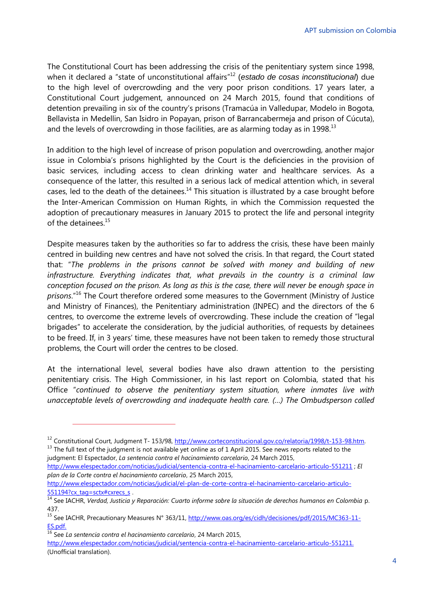The Constitutional Court has been addressing the crisis of the penitentiary system since 1998, when it declared a "state of unconstitutional affairs" <sup>12</sup> (*estado de cosas inconstitucional*) due to the high level of overcrowding and the very poor prison conditions. 17 years later, a Constitutional Court judgement, announced on 24 March 2015, found that conditions of detention prevailing in six of the country's prisons (Tramacúa in Valledupar, Modelo in Bogota, Bellavista in Medellin, San Isidro in Popayan, prison of Barrancabermeja and prison of Cúcuta), and the levels of overcrowding in those facilities, are as alarming today as in 1998.<sup>13</sup>

In addition to the high level of increase of prison population and overcrowding, another major issue in Colombia's prisons highlighted by the Court is the deficiencies in the provision of basic services, including access to clean drinking water and healthcare services. As a consequence of the latter, this resulted in a serious lack of medical attention which, in several cases, led to the death of the detainees. $^{14}$  This situation is illustrated by a case brought before the Inter-American Commission on Human Rights, in which the Commission requested the adoption of precautionary measures in January 2015 to protect the life and personal integrity of the detainees  $15$ 

Despite measures taken by the authorities so far to address the crisis, these have been mainly centred in building new centres and have not solved the crisis. In that regard, the Court stated that: "*The problems in the prisons cannot be solved with money and building of new infrastructure. Everything indicates that, what prevails in the country is a criminal law conception focused on the prison. As long as this is the case, there will never be enough space in prisons*."<sup>16</sup> The Court therefore ordered some measures to the Government (Ministry of Justice and Ministry of Finances), the Penitentiary administration (INPEC) and the directors of the 6 centres, to overcome the extreme levels of overcrowding. These include the creation of "legal brigades" to accelerate the consideration, by the judicial authorities, of requests by detainees to be freed. If, in 3 years' time, these measures have not been taken to remedy those structural problems, the Court will order the centres to be closed.

At the international level, several bodies have also drawn attention to the persisting penitentiary crisis. The High Commissioner, in his last report on Colombia, stated that his Office "*continued to observe the penitentiary system situation, where inmates live with unacceptable levels of overcrowding and inadequate health care. (…) The Ombudsperson called* 

judgment: El Espectador, *La sentencia contra el hacinamiento carcelario*, 24 March 2015, <http://www.elespectador.com/noticias/judicial/sentencia-contra-el-hacinamiento-carcelario-articulo-551211> ; *El* 

 $\overline{a}$ 

*plan de la Corte contra el hacinamiento carcelario*, 25 March 2015, [http://www.elespectador.com/noticias/judicial/el-plan-de-corte-contra-el-hacinamiento-carcelario-articulo-](http://www.elespectador.com/noticias/judicial/el-plan-de-corte-contra-el-hacinamiento-carcelario-articulo-551194?cx_tag=sctx#cxrecs_s)551194?cx tag=sctx#cxrecs s.

<sup>&</sup>lt;sup>12</sup> Constitutional Court, Judgment T- 153/98[, http://www.corteconstitucional.gov.co/relatoria/1998/t-153-98.htm.](http://www.corteconstitucional.gov.co/relatoria/1998/t-153-98.htm) <sup>13</sup> The full text of the judgment is not available yet online as of 1 April 2015. See news reports related to the

<sup>14</sup> See IACHR, *Verdad, Justicia y Reparación: Cuarto informe sobre la situación de derechos humanos en Colombia* p. 437.

<sup>&</sup>lt;sup>15</sup> See IACHR, Precautionary Measures N° 363/11, [http://www.oas.org/es/cidh/decisiones/pdf/2015/MC363-11-](http://www.oas.org/es/cidh/decisiones/pdf/2015/MC363-11-ES.pdf) [ES.pdf.](http://www.oas.org/es/cidh/decisiones/pdf/2015/MC363-11-ES.pdf)

<sup>16</sup> See *La sentencia contra el hacinamiento carcelario*, 24 March 2015, [http://www.elespectador.com/noticias/judicial/sentencia-contra-el-hacinamiento-carcelario-articulo-551211.](http://www.elespectador.com/noticias/judicial/sentencia-contra-el-hacinamiento-carcelario-articulo-551211)  (Unofficial translation).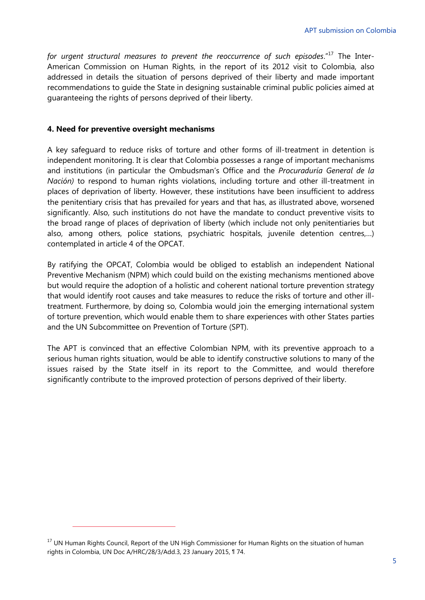for urgent structural measures to prevent the reoccurrence of such episodes."<sup>17</sup> The Inter-American Commission on Human Rights, in the report of its 2012 visit to Colombia, also addressed in details the situation of persons deprived of their liberty and made important recommendations to guide the State in designing sustainable criminal public policies aimed at guaranteeing the rights of persons deprived of their liberty.

#### **4. Need for preventive oversight mechanisms**

A key safeguard to reduce risks of torture and other forms of ill-treatment in detention is independent monitoring. It is clear that Colombia possesses a range of important mechanisms and institutions (in particular the Ombudsman's Office and the *Procuraduría General de la Nación)* to respond to human rights violations, including torture and other ill-treatment in places of deprivation of liberty. However, these institutions have been insufficient to address the penitentiary crisis that has prevailed for years and that has, as illustrated above, worsened significantly. Also, such institutions do not have the mandate to conduct preventive visits to the broad range of places of deprivation of liberty (which include not only penitentiaries but also, among others, police stations, psychiatric hospitals, juvenile detention centres,…) contemplated in article 4 of the OPCAT.

By ratifying the OPCAT, Colombia would be obliged to establish an independent National Preventive Mechanism (NPM) which could build on the existing mechanisms mentioned above but would require the adoption of a holistic and coherent national torture prevention strategy that would identify root causes and take measures to reduce the risks of torture and other illtreatment. Furthermore, by doing so, Colombia would join the emerging international system of torture prevention, which would enable them to share experiences with other States parties and the UN Subcommittee on Prevention of Torture (SPT).

The APT is convinced that an effective Colombian NPM, with its preventive approach to a serious human rights situation, would be able to identify constructive solutions to many of the issues raised by the State itself in its report to the Committee, and would therefore significantly contribute to the improved protection of persons deprived of their liberty.

 $\overline{a}$ 

<sup>&</sup>lt;sup>17</sup> UN Human Rights Council, Report of the UN High Commissioner for Human Rights on the situation of human rights in Colombia, UN Doc A/HRC/28/3/Add.3, 23 January 2015, ¶ 74.